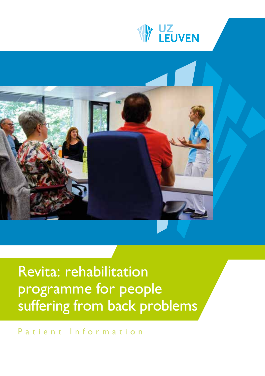



# Revita: rehabilitation programme for people suffering from back problems

Patient Information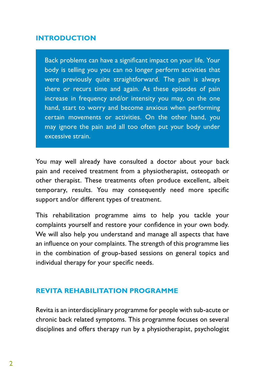#### **INTRODUCTION**

Back problems can have a significant impact on your life. Your body is telling you you can no longer perform activities that were previously quite straightforward. The pain is always there or recurs time and again. As these episodes of pain increase in frequency and/or intensity you may, on the one hand, start to worry and become anxious when performing certain movements or activities. On the other hand, you may ignore the pain and all too often put your body under excessive strain.

You may well already have consulted a doctor about your back pain and received treatment from a physiotherapist, osteopath or other therapist. These treatments often produce excellent, albeit temporary, results. You may consequently need more specific support and/or different types of treatment.

This rehabilitation programme aims to help you tackle your complaints yourself and restore your confidence in your own body. We will also help you understand and manage all aspects that have an influence on your complaints. The strength of this programme lies in the combination of group-based sessions on general topics and individual therapy for your specific needs.

### **REVITA REHABILITATION PROGRAMME**

Revita is an interdisciplinary programme for people with sub-acute or chronic back related symptoms. This programme focuses on several disciplines and offers therapy run by a physiotherapist, psychologist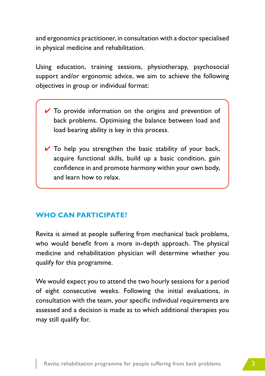and ergonomics practitioner, in consultation with a doctor specialised in physical medicine and rehabilitation.

Using education, training sessions, physiotherapy, psychosocial support and/or ergonomic advice, we aim to achieve the following objectives in group or individual format:

- $\vee$  To provide information on the origins and prevention of back problems. Optimising the balance between load and load bearing ability is key in this process.
- $\vee$  To help you strengthen the basic stability of your back, acquire functional skills, build up a basic condition, gain confidence in and promote harmony within your own body, and learn how to relax.

# **WHO CAN PARTICIPATE?**

Revita is aimed at people suffering from mechanical back problems, who would benefit from a more in-depth approach. The physical medicine and rehabilitation physician will determine whether you qualify for this programme.

We would expect you to attend the two hourly sessions for a period of eight consecutive weeks. Following the initial evaluations, in consultation with the team, your specific individual requirements are assessed and a decision is made as to which additional therapies you may still qualify for.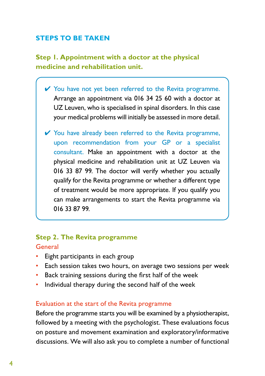## **STEPS TO BE TAKEN**

**Step 1. Appointment with a doctor at the physical medicine and rehabilitation unit.**

- ✔ You have not yet been referred to the Revita programme. Arrange an appointment via 016 34 25 60 with a doctor at UZ Leuven, who is specialised in spinal disorders. In this case your medical problems will initially be assessed in more detail.
- $\checkmark$  You have already been referred to the Revita programme, upon recommendation from your GP or a specialist consultant. Make an appointment with a doctor at the physical medicine and rehabilitation unit at UZ Leuven via 016 33 87 99. The doctor will verify whether you actually qualify for the Revita programme or whether a different type of treatment would be more appropriate. If you qualify you can make arrangements to start the Revita programme via 016 33 87 99.

#### **Step 2. The Revita programme** General

- Eight participants in each group
- Each session takes two hours, on average two sessions per week
- Back training sessions during the first half of the week
- Individual therapy during the second half of the week

#### Evaluation at the start of the Revita programme

Before the programme starts you will be examined by a physiotherapist, followed by a meeting with the psychologist. These evaluations focus on posture and movement examination and exploratory/informative discussions. We will also ask you to complete a number of functional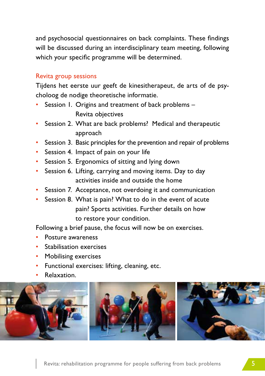and psychosocial questionnaires on back complaints. These findings will be discussed during an interdisciplinary team meeting, following which your specific programme will be determined.

#### Revita group sessions

Tijdens het eerste uur geeft de kinesitherapeut, de arts of de psycholoog de nodige theoretische informatie.

- Session I. Origins and treatment of back problems Revita objectives
- Session 2. What are back problems? Medical and therapeutic approach
- Session 3. Basic principles for the prevention and repair of problems
- Session 4. Impact of pain on your life
- Session 5. Ergonomics of sitting and lying down
- Session 6. Lifting, carrying and moving items. Day to day activities inside and outside the home
- Session 7. Acceptance, not overdoing it and communication
- Session 8. What is pain? What to do in the event of acute pain? Sports activities. Further details on how to restore your condition.

Following a brief pause, the focus will now be on exercises.

- Posture awareness
- Stabilisation exercises
- Mobilising exercises
- Functional exercises: lifting, cleaning, etc.
- Relaxation.

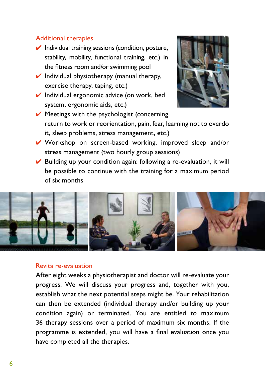#### Additional therapies

- $\vee$  Individual training sessions (condition, posture, stability, mobility, functional training, etc.) in the fitness room and/or swimming pool
- $\vee$  Individual physiotherapy (manual therapy, exercise therapy, taping, etc.)
- $\vee$  Individual ergonomic advice (on work, bed system, ergonomic aids, etc.)



- $\vee$  Meetings with the psychologist (concerning return to work or reorientation, pain, fear, learning not to overdo it, sleep problems, stress management, etc.)
- ✔ Workshop on screen-based working, improved sleep and/or stress management (two hourly group sessions)
- $\vee$  Building up your condition again: following a re-evaluation, it will be possible to continue with the training for a maximum period of six months



#### Revita re-evaluation

After eight weeks a physiotherapist and doctor will re-evaluate your progress. We will discuss your progress and, together with you, establish what the next potential steps might be. Your rehabilitation can then be extended (individual therapy and/or building up your condition again) or terminated. You are entitled to maximum 36 therapy sessions over a period of maximum six months. If the programme is extended, you will have a final evaluation once you have completed all the therapies.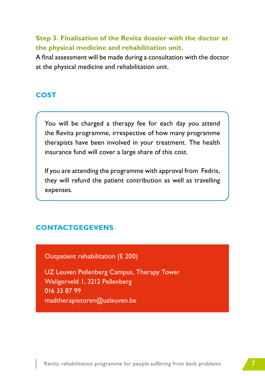# **Step 3. Finalisation of the Revita dossier with the doctor at the physical medicine and rehabilitation unit.**

A final assessment will be made during a consultation with the doctor at the physical medicine and rehabilitation unit.

## **COST**

You will be charged a therapy fee for each day you attend the Revita programme, irrespective of how many programme therapists have been involved in your treatment. The health insurance fund will cover a large share of this cost.

If you are attending the programme with approval from Fedris, they will refund the patient contribution as well as travelling expenses.

### **CONTACTGEGEVENS**

Outpatient rehabilitation (E 200)

UZ Leuven Pellenberg Campus, Therapy Tower Weligerveld 1, 3212 Pellenberg 016 33 87 99 madtherapietoren@uzleuven.be